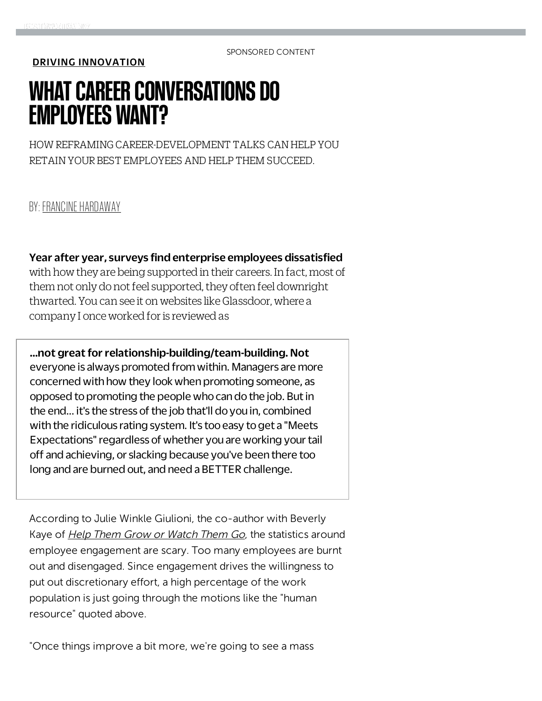SPONSORED CONTENT

[DRIVING INNOVATION](http://www.fastcompany.com/section/driving-innovation)

## WHAT CAREER CONVERSATIONS DO EMPLOYEES WANT?

HOW REFRAMING CAREER-DEVELOPMENT TALKS CAN HELP YOU RETAIN YOUR BEST EMPLOYEES AND HELP THEM SUCCEED.

BY: [FRANCINE HARDAWAY](http://www.fastcompany.com/user/francine-hardaway)

Year after year, surveys find enterprise employees dissatisfied

with how they are being supported in their careers. In fact, most of them not only do not feel supported, they often feel downright thwarted. You can see it on websites like Glassdoor, where a company I once worked for is reviewed as

...not great for relationship-building/team-building. Not everyone is always promoted from within. Managers are more concerned with how they look when promoting someone, as opposed to promoting the people who can do the job. But in the end... it's the stress of the job that'll do you in, combined with the ridiculous rating system. It's too easy to get a "Meets Expectations" regardless of whether you are working your tail off and achieving, or slacking because you've been there too long and are burned out, and need a BETTER challenge.

According to Julie Winkle Giulioni, the co-author with Beverly Kaye of *[Help Them Grow or Watch Them Go](http://www.amazon.com/Help-Them-Grow-Watch-Conversations/dp/1609946324)*, the statistics around employee engagement are scary. Too many employees are burnt out and disengaged. Since engagement drives the willingness to put out discretionary effort, a high percentage of the work population is just going through the motions like the "human resource" quoted above.

"Once things improve a bit more, we're going to see a mass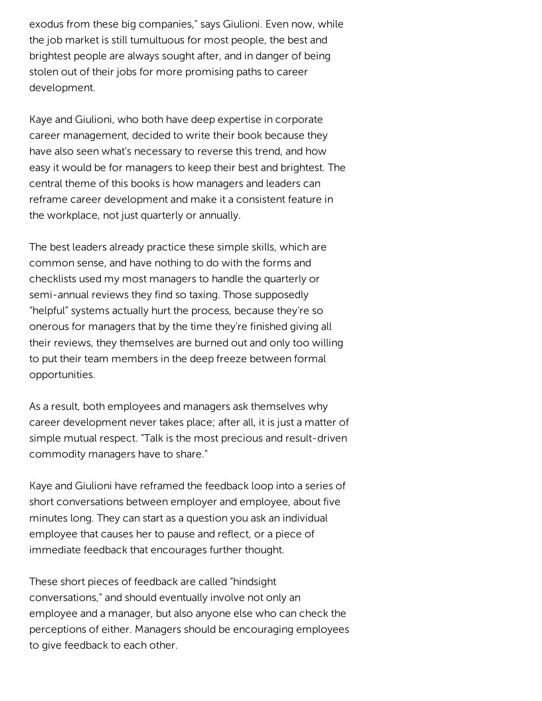exodus from these big companies," says Giulioni. Even now, while the job market is still tumultuous for most people, the best and brightest people are always sought after, and in danger of being stolen out of their jobs for more promising paths to career development.

Kaye and Giulioni, who both have deep expertise in corporate career management, decided to write their book because they have also seen what's necessary to reverse this trend, and how easy it would be for managers to keep their best and brightest. The central theme of this books is how managers and leaders can reframe career development and make it a consistent feature in the workplace, not just quarterly or annually.

The best leaders already practice these simple skills, which are common sense, and have nothing to do with the forms and checklists used my most managers to handle the quarterly or semi-annual reviews they find so taxing. Those supposedly "helpful" systems actually hurt the process, because they're so onerous for managers that by the time they're finished giving all their reviews, they themselves are burned out and only too willing to put their team members in the deep freeze between formal opportunities.

As a result, both employees and managers ask themselves why career development never takes place; after all, it is just a matter of simple mutual respect. "Talk is the most precious and result-driven commodity managers have to share."

Kaye and Giulioni have reframed the feedback loop into a series of short conversations between employer and employee, about five minutes long. They can start as a question you ask an individual employee that causes her to pause and reflect, or a piece of immediate feedback that encourages further thought.

These short pieces of feedback are called "hindsight conversations," and should eventually involve not only an employee and a manager, but also anyone else who can check the perceptions of either. Managers should be encouraging employees to give feedback to each other.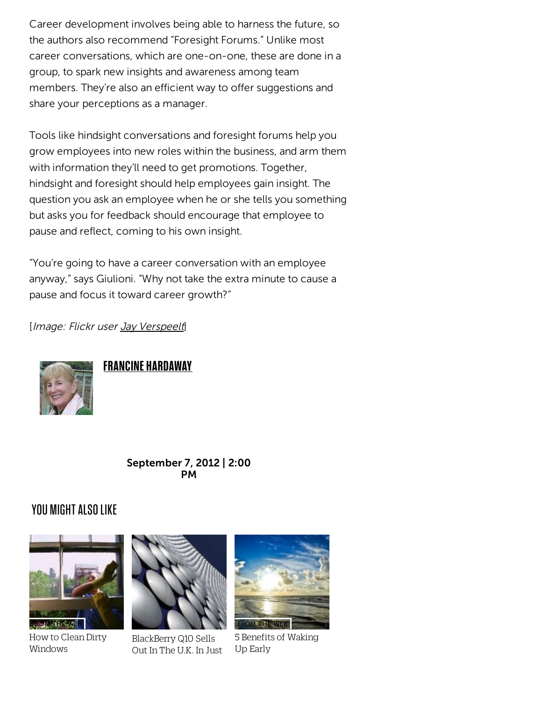Career development involves being able to harness the future, so the authors also recommend "Foresight Forums." Unlike most career conversations, which are one-on-one, these are done in a group, to spark new insights and awareness among team members. They're also an efficient way to offer suggestions and share your perceptions as a manager.

Tools like hindsight conversations and foresight forums help you grow employees into new roles within the business, and arm them with information they'll need to get promotions. Together, hindsight and foresight should help employees gain insight. The question you ask an employee when he or she tells you something but asks you for feedback should encourage that employee to pause and reflect, coming to his own insight.

"You're going to have a career conversation with an employee anyway," says Giulioni. "Why not take the extra minute to cause a pause and focus it toward career growth?"

[Image: Flickr user [Jay Verspeelt](http://www.flickr.com/photos/29290135%40N02/3602936386/in/photostream/)]



**FRANCINE HARDAWAY** 

September 7, 2012 | 2:00 PM

## YOU MIGHT ALSO LIKE



How to Clean Dirty Windows



BlackBerry Q10 Sells Out In The U.K. In Just



5 Benefits of Waking Up Early